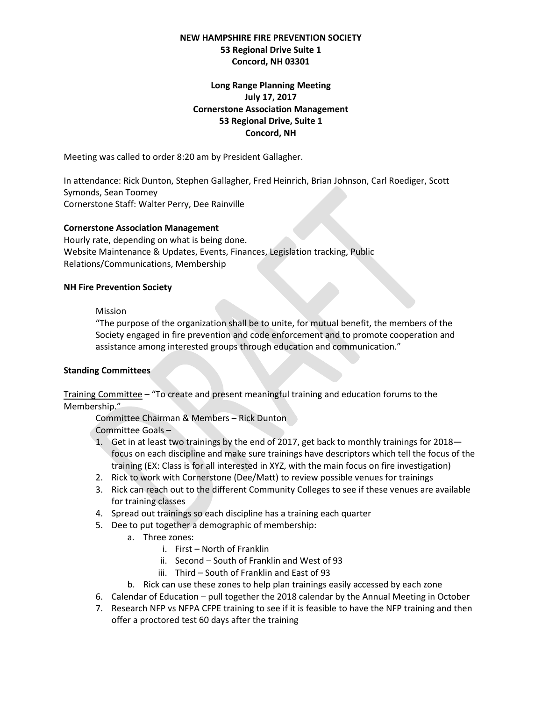# **NEW HAMPSHIRE FIRE PREVENTION SOCIETY 53 Regional Drive Suite 1 Concord, NH 03301**

# **Long Range Planning Meeting July 17, 2017 Cornerstone Association Management 53 Regional Drive, Suite 1 Concord, NH**

Meeting was called to order 8:20 am by President Gallagher.

In attendance: Rick Dunton, Stephen Gallagher, Fred Heinrich, Brian Johnson, Carl Roediger, Scott Symonds, Sean Toomey Cornerstone Staff: Walter Perry, Dee Rainville

### **Cornerstone Association Management**

Hourly rate, depending on what is being done. Website Maintenance & Updates, Events, Finances, Legislation tracking, Public Relations/Communications, Membership

### **NH Fire Prevention Society**

### Mission

"The purpose of the organization shall be to unite, for mutual benefit, the members of the Society engaged in fire prevention and code enforcement and to promote cooperation and assistance among interested groups through education and communication."

## **Standing Committees**

Training Committee – "To create and present meaningful training and education forums to the Membership."

Committee Chairman & Members – Rick Dunton Committee Goals –

- 1. Get in at least two trainings by the end of 2017, get back to monthly trainings for 2018 focus on each discipline and make sure trainings have descriptors which tell the focus of the training (EX: Class is for all interested in XYZ, with the main focus on fire investigation)
- 2. Rick to work with Cornerstone (Dee/Matt) to review possible venues for trainings
- 3. Rick can reach out to the different Community Colleges to see if these venues are available for training classes
- 4. Spread out trainings so each discipline has a training each quarter
- 5. Dee to put together a demographic of membership:
	- a. Three zones:
		- i. First North of Franklin
		- ii. Second South of Franklin and West of 93
		- iii. Third South of Franklin and East of 93
	- b. Rick can use these zones to help plan trainings easily accessed by each zone
- 6. Calendar of Education pull together the 2018 calendar by the Annual Meeting in October
- 7. Research NFP vs NFPA CFPE training to see if it is feasible to have the NFP training and then offer a proctored test 60 days after the training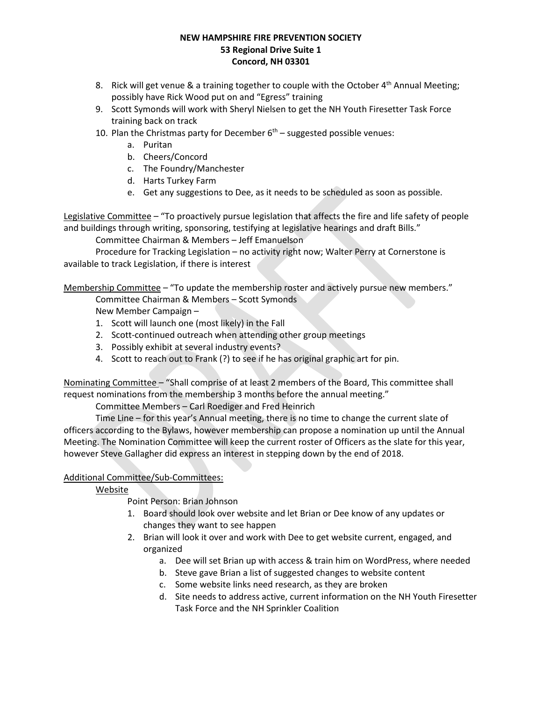# **NEW HAMPSHIRE FIRE PREVENTION SOCIETY 53 Regional Drive Suite 1 Concord, NH 03301**

- 8. Rick will get venue & a training together to couple with the October  $4<sup>th</sup>$  Annual Meeting; possibly have Rick Wood put on and "Egress" training
- 9. Scott Symonds will work with Sheryl Nielsen to get the NH Youth Firesetter Task Force training back on track
- 10. Plan the Christmas party for December  $6<sup>th</sup>$  suggested possible venues:
	- a. Puritan
	- b. Cheers/Concord
	- c. The Foundry/Manchester
	- d. Harts Turkey Farm
	- e. Get any suggestions to Dee, as it needs to be scheduled as soon as possible.

Legislative Committee – "To proactively pursue legislation that affects the fire and life safety of people and buildings through writing, sponsoring, testifying at legislative hearings and draft Bills."

Committee Chairman & Members – Jeff Emanuelson

Procedure for Tracking Legislation – no activity right now; Walter Perry at Cornerstone is available to track Legislation, if there is interest

Membership Committee – "To update the membership roster and actively pursue new members."

Committee Chairman & Members – Scott Symonds

New Member Campaign –

- 1. Scott will launch one (most likely) in the Fall
- 2. Scott-continued outreach when attending other group meetings
- 3. Possibly exhibit at several industry events?
- 4. Scott to reach out to Frank (?) to see if he has original graphic art for pin.

Nominating Committee – "Shall comprise of at least 2 members of the Board, This committee shall request nominations from the membership 3 months before the annual meeting."

Committee Members – Carl Roediger and Fred Heinrich

Time Line – for this year's Annual meeting, there is no time to change the current slate of officers according to the Bylaws, however membership can propose a nomination up until the Annual Meeting. The Nomination Committee will keep the current roster of Officers as the slate for this year, however Steve Gallagher did express an interest in stepping down by the end of 2018.

# Additional Committee/Sub-Committees:

Website

Point Person: Brian Johnson

- 1. Board should look over website and let Brian or Dee know of any updates or changes they want to see happen
- 2. Brian will look it over and work with Dee to get website current, engaged, and organized
	- a. Dee will set Brian up with access & train him on WordPress, where needed
	- b. Steve gave Brian a list of suggested changes to website content
	- c. Some website links need research, as they are broken
	- d. Site needs to address active, current information on the NH Youth Firesetter Task Force and the NH Sprinkler Coalition